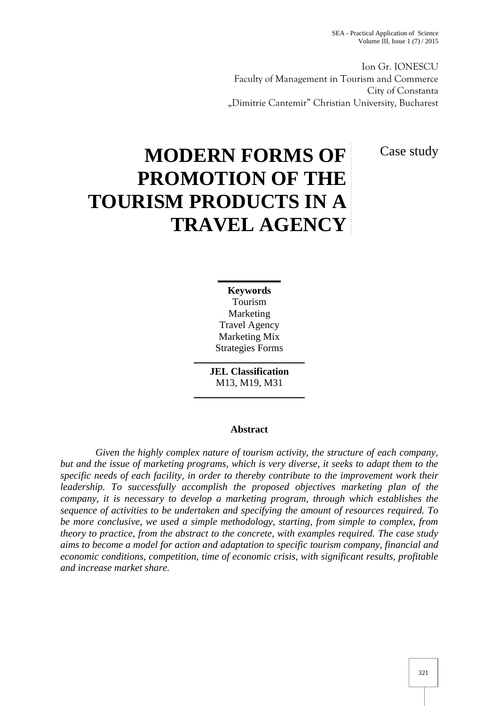Ion Gr. IONESCU Faculty of Management in Tourism and Commerce City of Constanta "Dimitrie Cantemir" Christian University, Bucharest

Case study

# **MODERN FORMS OF PROMOTION OF THE TOURISM PRODUCTS IN A TRAVEL AGENCY**

**Keywords** Tourism Marketing Travel Agency Marketing Mix Strategies Forms

**JEL Classification** M13, M19, M31

# **Abstract**

*Given the highly complex nature of tourism activity, the structure of each company, but and the issue of marketing programs, which is very diverse, it seeks to adapt them to the specific needs of each facility, in order to thereby contribute to the improvement work their leadership. To successfully accomplish the proposed objectives marketing plan of the company, it is necessary to develop a marketing program, through which establishes the sequence of activities to be undertaken and specifying the amount of resources required. To be more conclusive, we used a simple methodology, starting, from simple to complex, from theory to practice, from the abstract to the concrete, with examples required. The case study aims to become a model for action and adaptation to specific tourism company, financial and economic conditions, competition, time of economic crisis, with significant results, profitable and increase market share.*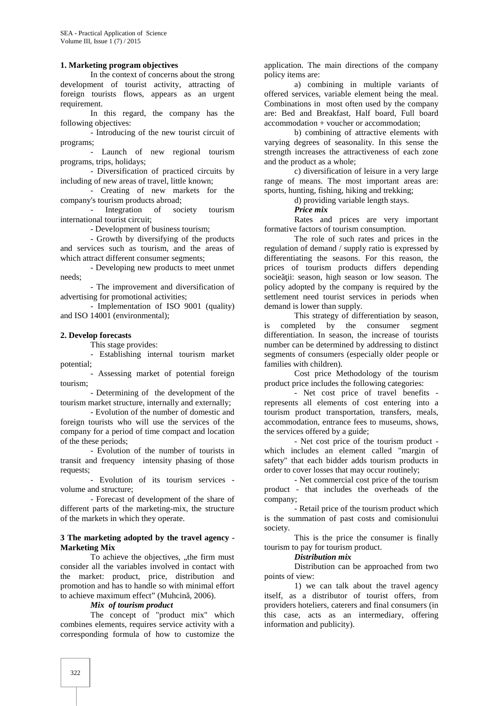# **1. Marketing program objectives**

In the context of concerns about the strong development of tourist activity, attracting of foreign tourists flows, appears as an urgent requirement.

In this regard, the company has the following objectives:

- Introducing of the new tourist circuit of programs;- Launch of new regional tourism

programs, trips, holidays;

- Diversification of practiced circuits by including of new areas of travel, little known;

- Creating of new markets for the company's tourism products abroad;

Integration of society tourism international tourist circuit;

- Development of business tourism;

- Growth by diversifying of the products and services such as tourism, and the areas of which attract different consumer segments;

- Developing new products to meet unmet needs;

- The improvement and diversification of advertising for promotional activities;

- Implementation of ISO 9001 (quality) and ISO 14001 (environmental);

#### **2. Develop forecasts**

This stage provides:

- Establishing internal tourism market

potential;- Assessing market of potential foreign tourism;

- Determining of the development of the tourism market structure, internally and externally;

- Evolution of the number of domestic and foreign tourists who will use the services of the company for a period of time compact and location of the these periods;

- Evolution of the number of tourists in transit and frequency intensity phasing of those requests;- Evolution of its tourism services -

volume and structure;

- Forecast of development of the share of different parts of the marketing-mix, the structure of the markets in which they operate.

#### **3 The marketing adopted by the travel agency - Marketing Mix**

To achieve the objectives, ..the firm must consider all the variables involved in contact with the market: product, price, distribution and promotion and has to handle so with minimal effort to achieve maximum effect" (Muhcin, 2006).

### *Mix of tourism product*

The concept of "product mix" which combines elements, requires service activity with a corresponding formula of how to customize the

application. The main directions of the company policy items are:

a) combining in multiple variants of offered services, variable element being the meal. Combinations in most often used by the company are: Bed and Breakfast, Half board, Full board accommodation + voucher or accommodation;

b) combining of attractive elements with varying degrees of seasonality. In this sense the strength increases the attractiveness of each zone and the product as a whole;

c) diversification of leisure in a very large range of means. The most important areas are: sports, hunting, fishing, hiking and trekking;

d) providing variable length stays.

*Price mix*

Rates and prices are very important formative factors of tourism consumption.

The role of such rates and prices in the regulation of demand / supply ratio is expressed by differentiating the seasons. For this reason, the prices of tourism products differs depending socie ii: season, high season or low season. The policy adopted by the company is required by the settlement need tourist services in periods when demand is lower than supply.

This strategy of differentiation by season, is completed by the consumer segment differentiation. In season, the increase of tourists number can be determined by addressing to distinct segments of consumers (especially older people or families with children).

Cost price Methodology of the tourism product price includes the following categories:

- Net cost price of travel benefits represents all elements of cost entering into a tourism product transportation, transfers, meals, accommodation, entrance fees to museums, shows, the services offered by a guide;

- Net cost price of the tourism product which includes an element called "margin of safety" that each bidder adds tourism products in order to cover losses that may occur routinely;

- Net commercial cost price of the tourism product - that includes the overheads of the

company;- Retail price of the tourism product which is the summation of past costs and comisionului society.

This is the price the consumer is finally tourism to pay for tourism product.

*Distribution mix*

Distribution can be approached from two points of view:

1) we can talk about the travel agency itself, as a distributor of tourist offers, from providers hoteliers, caterers and final consumers (in this case, acts as an intermediary, offering information and publicity).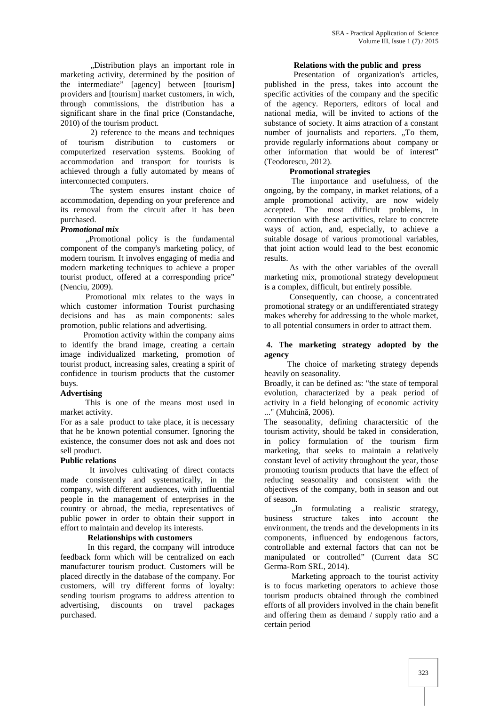"Distribution plays an important role in marketing activity, determined by the position of the intermediate" [agency] between [tourism] providers and [tourism] market customers, in wich, through commissions, the distribution has a significant share in the final price (Constandache, 2010) of the tourism product.

2) reference to the means and techniques of tourism distribution to customers or computerized reservation systems. Booking of accommodation and transport for tourists is achieved through a fully automated by means of interconnected computers.

The system ensures instant choice of accommodation, depending on your preference and its removal from the circuit after it has been purchased.

# *Promotional mix*

,,Promotional policy is the fundamental component of the company's marketing policy, of modern tourism. It involves engaging of media and modern marketing techniques to achieve a proper tourist product, offered at a corresponding price" (Nenciu, 2009).

Promotional mix relates to the ways in which customer information Tourist purchasing decisions and has as main components: sales promotion, public relations and advertising.

Promotion activity within the company aims to identify the brand image, creating a certain image individualized marketing, promotion of tourist product, increasing sales, creating a spirit of confidence in tourism products that the customer buys.

# **Advertising**

This is one of the means most used in market activity.

For as a sale product to take place, it is necessary that he be known potential consumer. Ignoring the existence, the consumer does not ask and does not sell product.

# **Public relations**

It involves cultivating of direct contacts made consistently and systematically, in the company, with different audiences, with influential people in the management of enterprises in the country or abroad, the media, representatives of public power in order to obtain their support in effort to maintain and develop its interests.

# **Relationships with customers**

In this regard, the company will introduce feedback form which will be centralized on each manufacturer tourism product. Customers will be placed directly in the database of the company. For customers, will try different forms of loyalty: sending tourism programs to address attention to advertising, discounts on travel packages purchased.

# **Relations with the public and press**

Presentation of organization's articles, published in the press, takes into account the specific activities of the company and the specific of the agency. Reporters, editors of local and national media, will be invited to actions of the substance of society. It aims atraction of a constant number of journalists and reporters. "To them, provide regularly informations about company or other information that would be of interest" (Teodorescu, 2012).

# **Promotional strategies**

The importance and usefulness, of the ongoing, by the company, in market relations, of a ample promotional activity, are now widely accepted. The most difficult problems, in connection with these activities, relate to concrete ways of action, and, especially, to achieve a suitable dosage of various promotional variables, that joint action would lead to the best economic results.

As with the other variables of the overall marketing mix, promotional strategy development is a complex, difficult, but entirely possible.

Consequently, can choose, a concentrated promotional strategy or an undifferentiated strategy makes whereby for addressing to the whole market, to all potential consumers in order to attract them.

# **4. The marketing strategy adopted by the agency**

The choice of marketing strategy depends heavily on seasonality.

Broadly, it can be defined as: "the state of temporal evolution, characterized by a peak period of activity in a field belonging of economic activity ..." (Muhcin, 2006).

The seasonality, defining charactersitic of the tourism activity, should be taked in consideration, in policy formulation of the tourism firm marketing, that seeks to maintain a relatively constant level of activity throughout the year, those promoting tourism products that have the effect of reducing seasonality and consistent with the objectives of the company, both in season and out of season.

,,In formulating a realistic strategy, business structure takes into account the environment, the trends and the developments in its components, influenced by endogenous factors, controllable and external factors that can not be manipulated or controlled" (Current data SC Germa-Rom SRL, 2014).

Marketing approach to the tourist activity is to focus marketing operators to achieve those tourism products obtained through the combined efforts of all providers involved in the chain benefit and offering them as demand / supply ratio and a certain period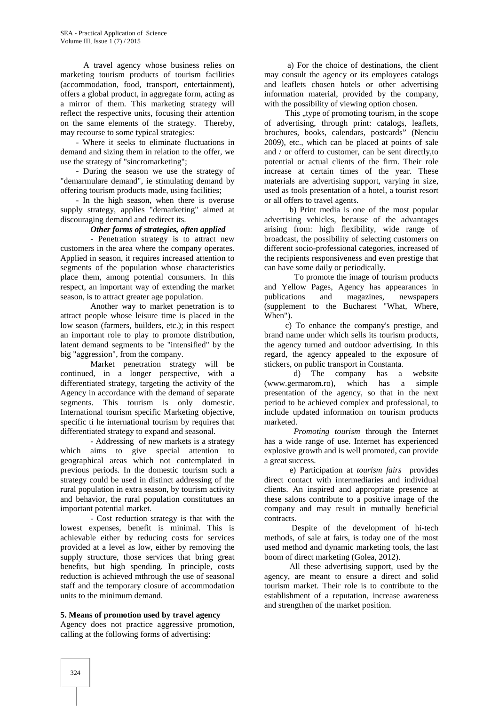A travel agency whose business relies on marketing tourism products of tourism facilities (accommodation, food, transport, entertainment), offers a global product, in aggregate form, acting as a mirror of them. This marketing strategy will reflect the respective units, focusing their attention on the same elements of the strategy. Thereby, may recourse to some typical strategies:

- Where it seeks to eliminate fluctuations in demand and sizing them in relation to the offer, we use the strategy of "sincromarketing";

- During the season we use the strategy of "demarmulare demand", ie stimulating demand by offering tourism products made, using facilities;

- In the high season, when there is overuse supply strategy, applies "demarketing" aimed at discouraging demand and redirect its.

#### *Other forms of strategies, often applied*

- Penetration strategy is to attract new customers in the area where the company operates. Applied in season, it requires increased attention to segments of the population whose characteristics place them, among potential consumers. In this respect, an important way of extending the market season, is to attract greater age population.

Another way to market penetration is to attract people whose leisure time is placed in the low season (farmers, builders, etc.); in this respect an important role to play to promote distribution, latent demand segments to be "intensified" by the big "aggression", from the company.

Market penetration strategy will be continued, in a longer perspective, with a differentiated strategy, targeting the activity of the Agency in accordance with the demand of separate segments. This tourism is only domestic. International tourism specific Marketing objective, specific ti he international tourism by requires that differentiated strategy to expand and seasonal.

- Addressing of new markets is a strategy which aims to give special attention to geographical areas which not contemplated in previous periods. In the domestic tourism such a strategy could be used in distinct addressing of the rural population in extra season, by tourism activity and behavior, the rural population constitutues an important potential market.

- Cost reduction strategy is that with the lowest expenses, benefit is minimal. This is achievable either by reducing costs for services provided at a level as low, either by removing the supply structure, those services that bring great benefits, but high spending. In principle, costs reduction is achieved mthrough the use of seasonal staff and the temporary closure of accommodation units to the minimum demand.

#### **5. Means of promotion used by travel agency**

Agency does not practice aggressive promotion, calling at the following forms of advertising:

a) For the choice of destinations, the client may consult the agency or its employees catalogs and leaflets chosen hotels or other advertising information material, provided by the company, with the possibility of viewing option chosen.

This "type of promoting tourism, in the scope of advertising, through print: catalogs, leaflets, brochures, books, calendars, postcards" (Nenciu 2009), etc., which can be placed at points of sale and / or offerd to customer, can be sent directly,to potential or actual clients of the firm. Their role increase at certain times of the year. These materials are advertising support, varying in size, used as tools presentation of a hotel, a tourist resort or all offers to travel agents.

b) Print media is one of the most popular advertising vehicles, because of the advantages arising from: high flexibility, wide range of broadcast, the possibility of selecting customers on different socio-professional categories, increased of the recipients responsiveness and even prestige that can have some daily or periodically.

To promote the image of tourism products and Yellow Pages, Agency has appearances in publications and magazines, newspapers (supplement to the Bucharest "What, Where, When").

c) To enhance the company's prestige, and brand name under which sells its tourism products, the agency turned and outdoor advertising. In this regard, the agency appealed to the exposure of stickers, on public transport in Constanta.

d) The company has a website (www.germarom.ro), which has a simple presentation of the agency, so that in the next period to be achieved complex and professional, to include updated information on tourism products marketed.

*Promoting tourism* through the Internet has a wide range of use. Internet has experienced explosive growth and is well promoted, can provide a great success.

e) Participation at *tourism fairs* provides direct contact with intermediaries and individual clients. An inspired and appropriate presence at these salons contribute to a positive image of the company and may result in mutually beneficial contracts.

Despite of the development of hi-tech methods, of sale at fairs, is today one of the most used method and dynamic marketing tools, the last boom of direct marketing (Golea, 2012).

All these advertising support, used by the agency, are meant to ensure a direct and solid tourism market. Their role is to contribute to the establishment of a reputation, increase awareness and strengthen of the market position.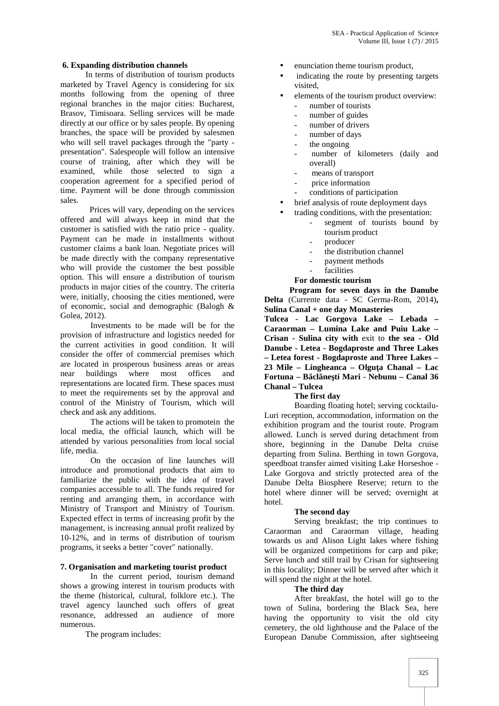## **6. Expanding distribution channels**

In terms of distribution of tourism products marketed by Travel Agency is considering for six months following from the opening of three regional branches in the major cities: Bucharest, Brasov, Timisoara. Selling services will be made directly at our office or by sales people. By opening branches, the space will be provided by salesmen who will sell travel packages through the "party presentation". Salespeople will follow an intensive course of training, after which they will be examined, while those selected to sign a cooperation agreement for a specified period of time. Payment will be done through commission sales.

Prices will vary, depending on the services offered and will always keep in mind that the customer is satisfied with the ratio price - quality. Payment can be made in installments without customer claims a bank loan. Negotiate prices will be made directly with the company representative who will provide the customer the best possible option. This will ensure a distribution of tourism products in major cities of the country. The criteria were, initially, choosing the cities mentioned, were of economic, social and demographic (Balogh & Golea, 2012).

Investments to be made will be for the provision of infrastructure and logistics needed for the current activities in good condition. It will consider the offer of commercial premises which are located in prosperous business areas or areas near buildings where most offices and representations are located firm. These spaces must to meet the requirements set by the approval and control of the Ministry of Tourism, which will check and ask any additions.

The actions will be taken to promotein the local media, the official launch, which will be attended by various personalities from local social life, media.

On the occasion of line launches will introduce and promotional products that aim to familiarize the public with the idea of travel companies accessible to all. The funds required for renting and arranging them, in accordance with Ministry of Transport and Ministry of Tourism. Expected effect in terms of increasing profit by the management, is increasing annual profit realized by 10-12%, and in terms of distribution of tourism programs, it seeks a better "cover" nationally.

#### **7. Organisation and marketing tourist product**

In the current period, tourism demand shows a growing interest in tourism products with the theme (historical, cultural, folklore etc.). The travel agency launched such offers of great resonance, addressed an audience of more numerous.

The program includes:

- enunciation theme tourism product,
- indicating the route by presenting targets visited,
- elements of the tourism product overview:
	- number of tourists
	- number of guides
	- number of drivers
	- number of days
	- the ongoing
	- number of kilometers (daily and overall)
	- means of transport
	- price information
	- conditions of participation
- brief analysis of route deployment days
- trading conditions, with the presentation:
	- segment of tourists bound by tourism product
	- producer
	- the distribution channel
	- payment methods
	- facilities

# **For domestic tourism**

**Program for seven days in the Danube Delta** (Currente data - SC Germa-Rom, 2014)**, Sulina Canal + one day Monasteries**

**Tulcea - Lac Gorgova Lake – Lebada – Caraorman – Lumina Lake and Puiu Lake – Crisan - Sulina city with** exit to **the sea - Old Danube - Letea - Bogdaproste and Three Lakes – Letea forest - Bogdaproste and Three Lakes – 23 Mile – Lingheanca – Olguţa Chanal – Lac Fortuna – Băclăneşti Mari - Nebunu – Canal 36 Chanal – Tulcea**

# **The first day**

Boarding floating hotel; serving cocktailu- Luri reception, accommodation, information on the exhibition program and the tourist route. Program allowed. Lunch is served during detachment from shore, beginning in the Danube Delta cruise departing from Sulina. Berthing in town Gorgova, speedboat transfer aimed visiting Lake Horseshoe - Lake Gorgova and strictly protected area of the Danube Delta Biosphere Reserve; return to the hotel where dinner will be served; overnight at hotel.

#### **The second day**

Serving breakfast; the trip continues to Caraorman and Caraorman village, heading towards us and Alison Light lakes where fishing will be organized competitions for carp and pike; Serve lunch and still trail by Crisan for sightseeing in this locality; Dinner will be served after which it will spend the night at the hotel.

# **The third day**

After breakfast, the hotel will go to the town of Sulina, bordering the Black Sea, here having the opportunity to visit the old city cemetery, the old lighthouse and the Palace of the European Danube Commission, after sightseeing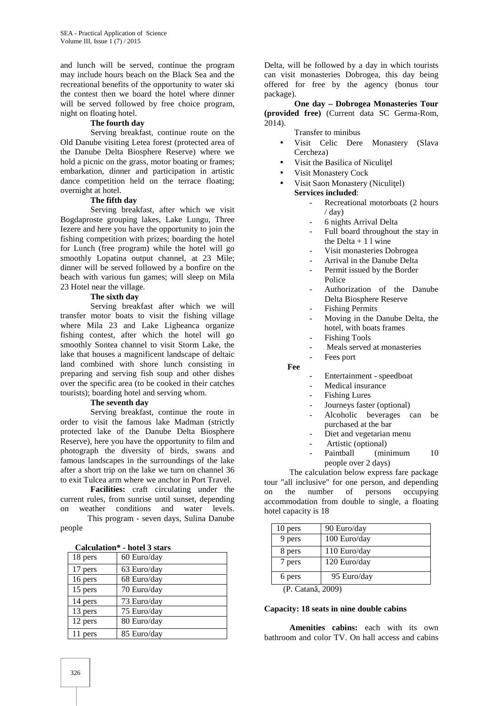and lunch will be served, continue the program may include hours beach on the Black Sea and the recreational benefits of the opportunity to water ski the contest then we board the hotel where dinner will be served followed by free choice program. night on floating hotel.

# **The fourth day**

Serving breakfast, continue route on the Old Danube visiting Letea forest (protected area of the Danube Delta Biosphere Reserve) where we hold a picnic on the grass, motor boating or frames; embarkation, dinner and participation in artistic dance competition held on the terrace floating; overnight at hotel.

# **The fifth day**

Serving breakfast, after which we visit Bogdaproste grouping lakes, Lake Lungu, Three Iezere and here you have the opportunity to join the fishing competition with prizes; boarding the hotel for Lunch (free program) while the hotel will go smoothly Lopatina output channel, at 23 Mile; dinner will be served followed by a bonfire on the beach with various fun games; will sleep on Mila 23 Hotel near the village.

#### **The sixth day**

Serving breakfast after which we will transfer motor boats to visit the fishing village where Mila 23 and Lake Ligheanca organize fishing contest, after which the hotel will go smoothly Sontea channel to visit Storm Lake, the lake that houses a magnificent landscape of deltaic land combined with shore lunch consisting in preparing and serving fish soup and other dishes over the specific area (to be cooked in their catches tourists); boarding hotel and serving whom.

#### **The seventh day**

Serving breakfast, continue the route in order to visit the famous lake Madman (strictly protected lake of the Danube Delta Biosphere Reserve), here you have the opportunity to film and photograph the diversity of birds, swans and famous landscapes in the surroundings of the lake after a short trip on the lake we turn on channel 36 to exit Tulcea arm where we anchor in Port Travel.

**Facilities:** craft circulating under the current rules, from sunrise until sunset, depending on weather conditions and water levels. This program - seven days, Sulina Danube

| Calculation* - hotel 3 stars |  |  |
|------------------------------|--|--|
|------------------------------|--|--|

| Calculation<br>- поця з магэ |             |
|------------------------------|-------------|
| 18 pers                      | 60 Euro/day |
| 17 pers                      | 63 Euro/day |
| 16 pers                      | 68 Euro/day |
| 15 pers                      | 70 Euro/day |
| 14 pers                      | 73 Euro/day |
| 13 pers                      | 75 Euro/day |
| 12 pers                      | 80 Euro/day |
| 11 pers                      | 85 Euro/day |

Delta, will be followed by a day in which tourists can visit monasteries Dobrogea, this day being offered for free by the agency (bonus tour package).

**One day – Dobrogea Monasteries Tour (provided free)** (Current data SC Germa-Rom, 2014).

Transfer to minibus

- Visit Celic Dere Monastery (Slava Cercheza)
- Visit the Basilica of Niculi el
- Visit Monastery Cock
- Visit Saon Monastery (Niculi el) **Services included**:
	- Recreational motorboats (2 hours  $/$  day)
	- 6 nights Arrival Delta
	- Full board throughout the stay in the Delta + 1 l wine
	- Visit monasteries Dobrogea
	- Arrival in the Danube Delta
	- Permit issued by the Border Police
	- Authorization of the Danube Delta Biosphere Reserve
	- Fishing Permits
	- Moving in the Danube Delta, the hotel, with boats frames
	- Fishing Tools
	- Meals served at monasteries
	- Fees port

**Fee**

- Entertainment speedboat
- Medical insurance
- Fishing Lures
- Journeys faster (optional)
- Alcoholic beverages can be purchased at the bar
- Diet and vegetarian menu
- Artistic (optional)<br>Paintball (mir
- $(\text{minimum} \qquad 10)$ people over 2 days)

The calculation below express fare package tour "all inclusive" for one person, and depending on the number of persons occupying accommodation from double to single, a floating hotel capacity is 18

| 10 pers | 90 Euro/day  |
|---------|--------------|
| 9 pers  | 100 Euro/day |
| 8 pers  | 110 Euro/day |
| 7 pers  | 120 Euro/day |
| 6 pers  | 95 Euro/day  |
| 'atan   |              |

(P. Catan, 2009)

#### **Capacity: 18 seats in nine double cabins**

**Amenities cabins:** each with its own bathroom and color TV. On hall access and cabins

people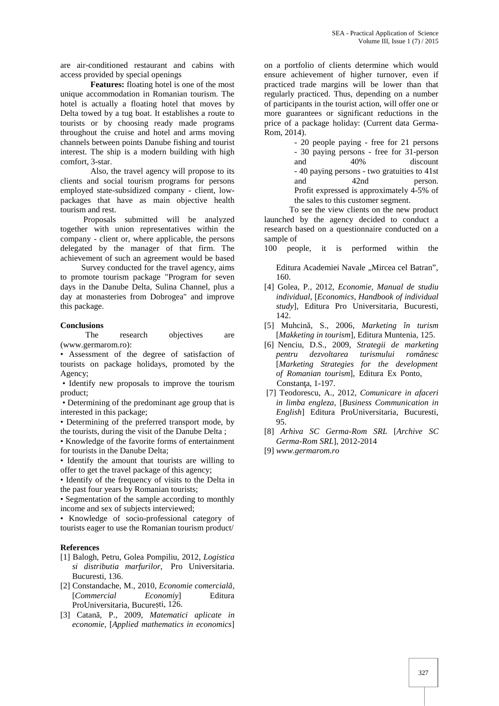are air-conditioned restaurant and cabins with access provided by special openings

**Features:** floating hotel is one of the most unique accommodation in Romanian tourism. The hotel is actually a floating hotel that moves by Delta towed by a tug boat. It establishes a route to tourists or by choosing ready made programs throughout the cruise and hotel and arms moving channels between points Danube fishing and tourist interest. The ship is a modern building with high comfort, 3-star.

Also, the travel agency will propose to its clients and social tourism programs for persons employed state-subsidized company - client, low packages that have as main objective health tourism and rest.

Proposals submitted will be analyzed together with union representatives within the company - client or, where applicable, the persons delegated by the manager of that firm. The achievement of such an agreement would be based

Survey conducted for the travel agency, aims to promote tourism package "Program for seven days in the Danube Delta, Sulina Channel, plus a day at monasteries from Dobrogea" and improve this package.

**Conclusions**<br>The research The research objectives are (www.germarom.ro):

• Assessment of the degree of satisfaction of tourists on package holidays, promoted by the Agency;

• Identify new proposals to improve the tourism product;

• Determining of the predominant age group that is interested in this package;

• Determining of the preferred transport mode, by the tourists, during the visit of the Danube Delta ;

• Knowledge of the favorite forms of entertainment for tourists in the Danube Delta;

• Identify the amount that tourists are willing to offer to get the travel package of this agency;

• Identify of the frequency of visits to the Delta in the past four years by Romanian tourists;

• Segmentation of the sample according to monthly income and sex of subjects interviewed;

• Knowledge of socio-professional category of tourists eager to use the Romanian tourism product/

#### **References**

- [1] Balogh, Petru, Golea Pompiliu, 2012, *Logistica si distributia marfurilor*, Pro Universitaria. Bucuresti, 136.
- [2] Constandache, M., 2010, *Economie comercial*, [*Commercial Economiy*] Editura ProUniversitaria, Bucure ti, 126.
- [3] Catan, P., 2009, *Matematici aplicate in economie,* [*Applied mathematics in economics*]

on a portfolio of clients determine which would ensure achievement of higher turnover, even if practiced trade margins will be lower than that regularly practiced. Thus, depending on a number of participants in the tourist action, will offer one or more guarantees or significant reductions in the price of a package holiday: (Current data Germa- Rom, 2014).

> - 20 people paying - free for 21 persons - 30 paying persons - free for 31-person and 40% discount - 40 paying persons - two gratuities to 41st and 42nd person. Profit expressed is approximately 4-5% of the sales to this customer segment.

To see the view clients on the new product launched by the agency decided to conduct a research based on a questionnaire conducted on a sample of

100 people, it is performed within the

Editura Academiei Navale "Mircea cel Batran", 160.

- [4] Golea, P*.,* 2012*, Economie, Manual de studiu individual*, [*Economics, Handbook of individual study*], Editura Pro Universitaria, Bucuresti, 142.
- [5] Muhcină, S., 2006*, Marketing în turism* [*Makketing in tourism*]*,* Editura Muntenia, 125.
- [6] Nenciu, D.S., 2009, *Strategii de marketing pentru dezvoltarea turismului românesc* [*Marketing Strategies for the development of Romanian tourism*], Editura Ex Ponto, Constan a, 1-197.
- [7] Teodorescu, A., 2012, *Comunicare in afaceri in limba engleza*, [*Business Communication in English*] Editura ProUniversitaria, Bucuresti, 95.
- [8] *Arhiva SC Germa-Rom SRL* [*Archive SC Germa-Rom SRL*], 2012-2014

[9] *www.germarom.ro*